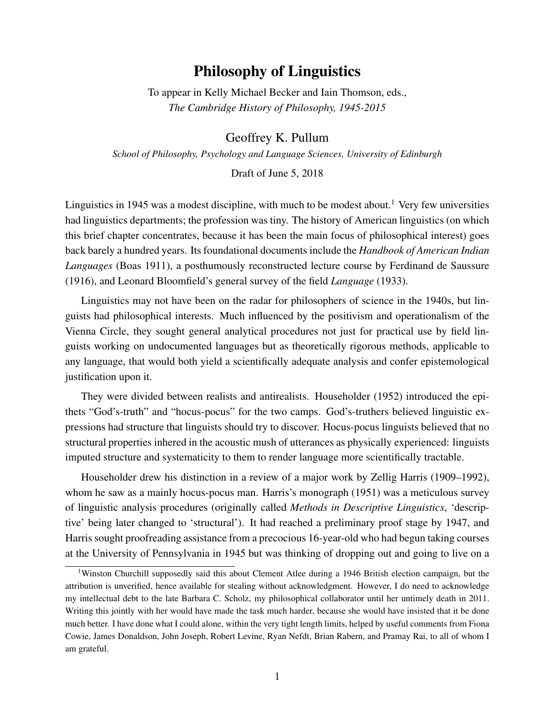# Philosophy of Linguistics

To appear in Kelly Michael Becker and Iain Thomson, eds., *The Cambridge History of Philosophy, 1945-2015*

# Geoffrey K. Pullum

*School of Philosophy, Psychology and Language Sciences, University of Edinburgh*

Draft of June 5, 2018

Linguistics in 1945 was a modest discipline, with much to be modest about.<sup>1</sup> Very few universities had linguistics departments; the profession was tiny. The history of American linguistics (on which this brief chapter concentrates, because it has been the main focus of philosophical interest) goes back barely a hundred years. Its foundational documents include the *Handbook of American Indian Languages* (Boas 1911), a posthumously reconstructed lecture course by Ferdinand de Saussure (1916), and Leonard Bloomfield's general survey of the field *Language* (1933).

Linguistics may not have been on the radar for philosophers of science in the 1940s, but linguists had philosophical interests. Much influenced by the positivism and operationalism of the Vienna Circle, they sought general analytical procedures not just for practical use by field linguists working on undocumented languages but as theoretically rigorous methods, applicable to any language, that would both yield a scientifically adequate analysis and confer epistemological justification upon it.

They were divided between realists and antirealists. Householder (1952) introduced the epithets "God's-truth" and "hocus-pocus" for the two camps. God's-truthers believed linguistic expressions had structure that linguists should try to discover. Hocus-pocus linguists believed that no structural properties inhered in the acoustic mush of utterances as physically experienced: linguists imputed structure and systematicity to them to render language more scientifically tractable.

Householder drew his distinction in a review of a major work by Zellig Harris (1909–1992), whom he saw as a mainly hocus-pocus man. Harris's monograph (1951) was a meticulous survey of linguistic analysis procedures (originally called *Methods in Descriptive Linguistics*, 'descriptive' being later changed to 'structural'). It had reached a preliminary proof stage by 1947, and Harris sought proofreading assistance from a precocious 16-year-old who had begun taking courses at the University of Pennsylvania in 1945 but was thinking of dropping out and going to live on a

<sup>&</sup>lt;sup>1</sup>Winston Churchill supposedly said this about Clement Atlee during a 1946 British election campaign, but the attribution is unverified, hence available for stealing without acknowledgment. However, I do need to acknowledge my intellectual debt to the late Barbara C. Scholz, my philosophical collaborator until her untimely death in 2011. Writing this jointly with her would have made the task much harder, because she would have insisted that it be done much better. I have done what I could alone, within the very tight length limits, helped by useful comments from Fiona Cowie, James Donaldson, John Joseph, Robert Levine, Ryan Nefdt, Brian Rabern, and Pramay Rai, to all of whom I am grateful.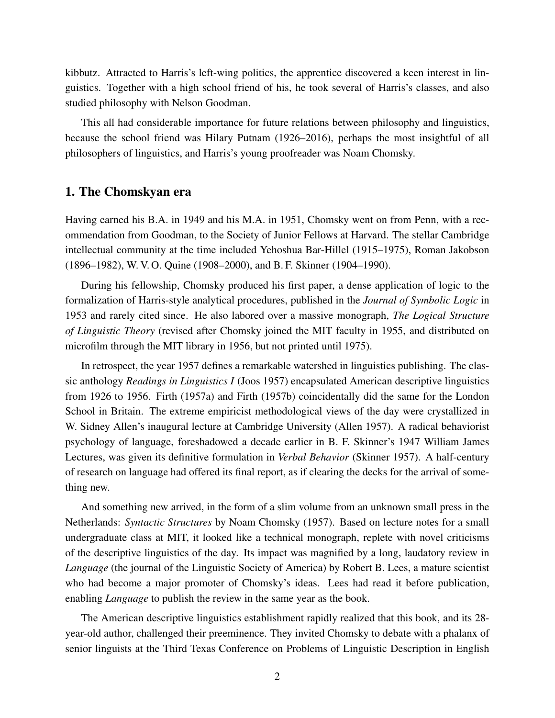kibbutz. Attracted to Harris's left-wing politics, the apprentice discovered a keen interest in linguistics. Together with a high school friend of his, he took several of Harris's classes, and also studied philosophy with Nelson Goodman.

This all had considerable importance for future relations between philosophy and linguistics, because the school friend was Hilary Putnam (1926–2016), perhaps the most insightful of all philosophers of linguistics, and Harris's young proofreader was Noam Chomsky.

#### 1. The Chomskyan era

Having earned his B.A. in 1949 and his M.A. in 1951, Chomsky went on from Penn, with a recommendation from Goodman, to the Society of Junior Fellows at Harvard. The stellar Cambridge intellectual community at the time included Yehoshua Bar-Hillel (1915–1975), Roman Jakobson (1896–1982), W. V. O. Quine (1908–2000), and B. F. Skinner (1904–1990).

During his fellowship, Chomsky produced his first paper, a dense application of logic to the formalization of Harris-style analytical procedures, published in the *Journal of Symbolic Logic* in 1953 and rarely cited since. He also labored over a massive monograph, *The Logical Structure of Linguistic Theory* (revised after Chomsky joined the MIT faculty in 1955, and distributed on microfilm through the MIT library in 1956, but not printed until 1975).

In retrospect, the year 1957 defines a remarkable watershed in linguistics publishing. The classic anthology *Readings in Linguistics I* (Joos 1957) encapsulated American descriptive linguistics from 1926 to 1956. Firth (1957a) and Firth (1957b) coincidentally did the same for the London School in Britain. The extreme empiricist methodological views of the day were crystallized in W. Sidney Allen's inaugural lecture at Cambridge University (Allen 1957). A radical behaviorist psychology of language, foreshadowed a decade earlier in B. F. Skinner's 1947 William James Lectures, was given its definitive formulation in *Verbal Behavior* (Skinner 1957). A half-century of research on language had offered its final report, as if clearing the decks for the arrival of something new.

And something new arrived, in the form of a slim volume from an unknown small press in the Netherlands: *Syntactic Structures* by Noam Chomsky (1957). Based on lecture notes for a small undergraduate class at MIT, it looked like a technical monograph, replete with novel criticisms of the descriptive linguistics of the day. Its impact was magnified by a long, laudatory review in *Language* (the journal of the Linguistic Society of America) by Robert B. Lees, a mature scientist who had become a major promoter of Chomsky's ideas. Lees had read it before publication, enabling *Language* to publish the review in the same year as the book.

The American descriptive linguistics establishment rapidly realized that this book, and its 28 year-old author, challenged their preeminence. They invited Chomsky to debate with a phalanx of senior linguists at the Third Texas Conference on Problems of Linguistic Description in English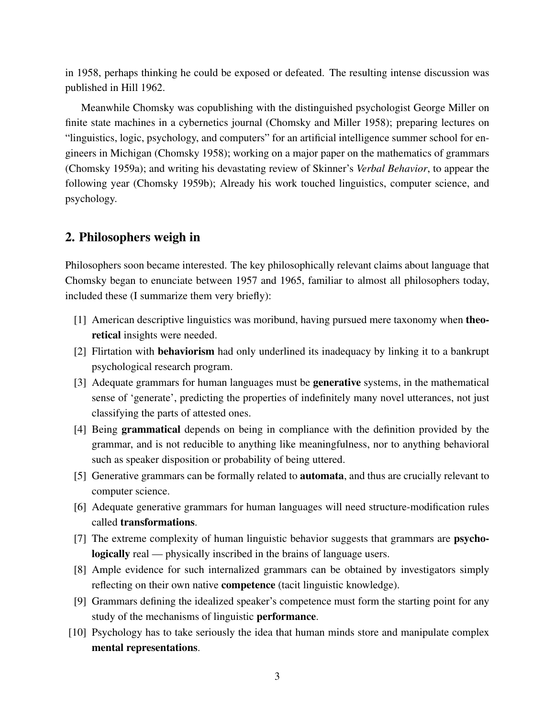in 1958, perhaps thinking he could be exposed or defeated. The resulting intense discussion was published in Hill 1962.

Meanwhile Chomsky was copublishing with the distinguished psychologist George Miller on finite state machines in a cybernetics journal (Chomsky and Miller 1958); preparing lectures on "linguistics, logic, psychology, and computers" for an artificial intelligence summer school for engineers in Michigan (Chomsky 1958); working on a major paper on the mathematics of grammars (Chomsky 1959a); and writing his devastating review of Skinner's *Verbal Behavior*, to appear the following year (Chomsky 1959b); Already his work touched linguistics, computer science, and psychology.

## 2. Philosophers weigh in

Philosophers soon became interested. The key philosophically relevant claims about language that Chomsky began to enunciate between 1957 and 1965, familiar to almost all philosophers today, included these (I summarize them very briefly):

- [1] American descriptive linguistics was moribund, having pursued mere taxonomy when theoretical insights were needed.
- [2] Flirtation with behaviorism had only underlined its inadequacy by linking it to a bankrupt psychological research program.
- [3] Adequate grammars for human languages must be **generative** systems, in the mathematical sense of 'generate', predicting the properties of indefinitely many novel utterances, not just classifying the parts of attested ones.
- [4] Being grammatical depends on being in compliance with the definition provided by the grammar, and is not reducible to anything like meaningfulness, nor to anything behavioral such as speaker disposition or probability of being uttered.
- [5] Generative grammars can be formally related to **automata**, and thus are crucially relevant to computer science.
- [6] Adequate generative grammars for human languages will need structure-modification rules called transformations.
- [7] The extreme complexity of human linguistic behavior suggests that grammars are psychologically real — physically inscribed in the brains of language users.
- [8] Ample evidence for such internalized grammars can be obtained by investigators simply reflecting on their own native competence (tacit linguistic knowledge).
- [9] Grammars defining the idealized speaker's competence must form the starting point for any study of the mechanisms of linguistic performance.
- [10] Psychology has to take seriously the idea that human minds store and manipulate complex mental representations.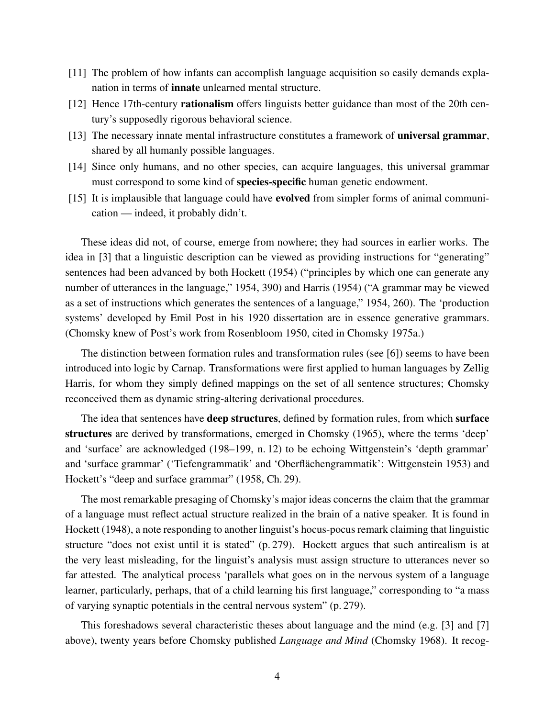- [11] The problem of how infants can accomplish language acquisition so easily demands explanation in terms of innate unlearned mental structure.
- [12] Hence 17th-century **rationalism** offers linguists better guidance than most of the 20th century's supposedly rigorous behavioral science.
- [13] The necessary innate mental infrastructure constitutes a framework of **universal grammar**, shared by all humanly possible languages.
- [14] Since only humans, and no other species, can acquire languages, this universal grammar must correspond to some kind of species-specific human genetic endowment.
- [15] It is implausible that language could have **evolved** from simpler forms of animal communication — indeed, it probably didn't.

These ideas did not, of course, emerge from nowhere; they had sources in earlier works. The idea in [3] that a linguistic description can be viewed as providing instructions for "generating" sentences had been advanced by both Hockett (1954) ("principles by which one can generate any number of utterances in the language," 1954, 390) and Harris (1954) ("A grammar may be viewed as a set of instructions which generates the sentences of a language," 1954, 260). The 'production systems' developed by Emil Post in his 1920 dissertation are in essence generative grammars. (Chomsky knew of Post's work from Rosenbloom 1950, cited in Chomsky 1975a.)

The distinction between formation rules and transformation rules (see [6]) seems to have been introduced into logic by Carnap. Transformations were first applied to human languages by Zellig Harris, for whom they simply defined mappings on the set of all sentence structures; Chomsky reconceived them as dynamic string-altering derivational procedures.

The idea that sentences have deep structures, defined by formation rules, from which surface structures are derived by transformations, emerged in Chomsky (1965), where the terms 'deep' and 'surface' are acknowledged (198–199, n. 12) to be echoing Wittgenstein's 'depth grammar' and 'surface grammar' ('Tiefengrammatik' and 'Oberflächengrammatik': Wittgenstein 1953) and Hockett's "deep and surface grammar" (1958, Ch. 29).

The most remarkable presaging of Chomsky's major ideas concerns the claim that the grammar of a language must reflect actual structure realized in the brain of a native speaker. It is found in Hockett (1948), a note responding to another linguist's hocus-pocus remark claiming that linguistic structure "does not exist until it is stated" (p. 279). Hockett argues that such antirealism is at the very least misleading, for the linguist's analysis must assign structure to utterances never so far attested. The analytical process 'parallels what goes on in the nervous system of a language learner, particularly, perhaps, that of a child learning his first language," corresponding to "a mass of varying synaptic potentials in the central nervous system" (p. 279).

This foreshadows several characteristic theses about language and the mind (e.g. [3] and [7] above), twenty years before Chomsky published *Language and Mind* (Chomsky 1968). It recog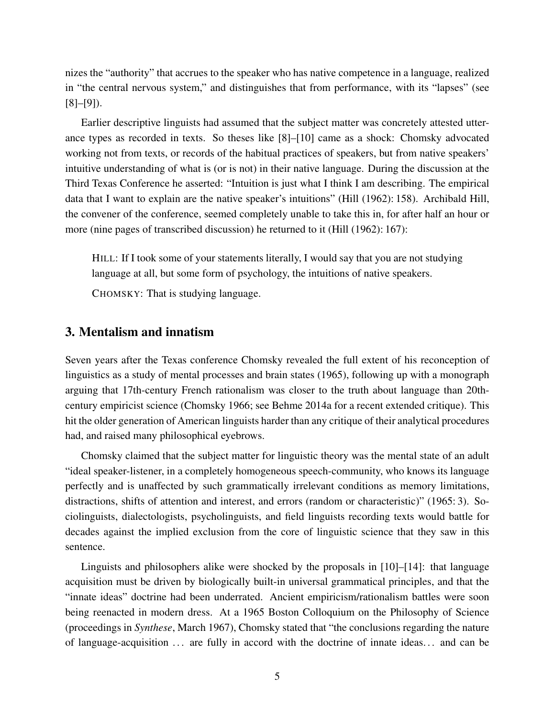nizes the "authority" that accrues to the speaker who has native competence in a language, realized in "the central nervous system," and distinguishes that from performance, with its "lapses" (see  $[8]-[9]$ ).

Earlier descriptive linguists had assumed that the subject matter was concretely attested utterance types as recorded in texts. So theses like [8]–[10] came as a shock: Chomsky advocated working not from texts, or records of the habitual practices of speakers, but from native speakers' intuitive understanding of what is (or is not) in their native language. During the discussion at the Third Texas Conference he asserted: "Intuition is just what I think I am describing. The empirical data that I want to explain are the native speaker's intuitions" (Hill (1962): 158). Archibald Hill, the convener of the conference, seemed completely unable to take this in, for after half an hour or more (nine pages of transcribed discussion) he returned to it (Hill (1962): 167):

HILL: If I took some of your statements literally, I would say that you are not studying language at all, but some form of psychology, the intuitions of native speakers.

CHOMSKY: That is studying language.

# 3. Mentalism and innatism

Seven years after the Texas conference Chomsky revealed the full extent of his reconception of linguistics as a study of mental processes and brain states (1965), following up with a monograph arguing that 17th-century French rationalism was closer to the truth about language than 20thcentury empiricist science (Chomsky 1966; see Behme 2014a for a recent extended critique). This hit the older generation of American linguists harder than any critique of their analytical procedures had, and raised many philosophical eyebrows.

Chomsky claimed that the subject matter for linguistic theory was the mental state of an adult "ideal speaker-listener, in a completely homogeneous speech-community, who knows its language perfectly and is unaffected by such grammatically irrelevant conditions as memory limitations, distractions, shifts of attention and interest, and errors (random or characteristic)" (1965: 3). Sociolinguists, dialectologists, psycholinguists, and field linguists recording texts would battle for decades against the implied exclusion from the core of linguistic science that they saw in this sentence.

Linguists and philosophers alike were shocked by the proposals in [10]–[14]: that language acquisition must be driven by biologically built-in universal grammatical principles, and that the "innate ideas" doctrine had been underrated. Ancient empiricism/rationalism battles were soon being reenacted in modern dress. At a 1965 Boston Colloquium on the Philosophy of Science (proceedings in *Synthese*, March 1967), Chomsky stated that "the conclusions regarding the nature of language-acquisition ... are fully in accord with the doctrine of innate ideas... and can be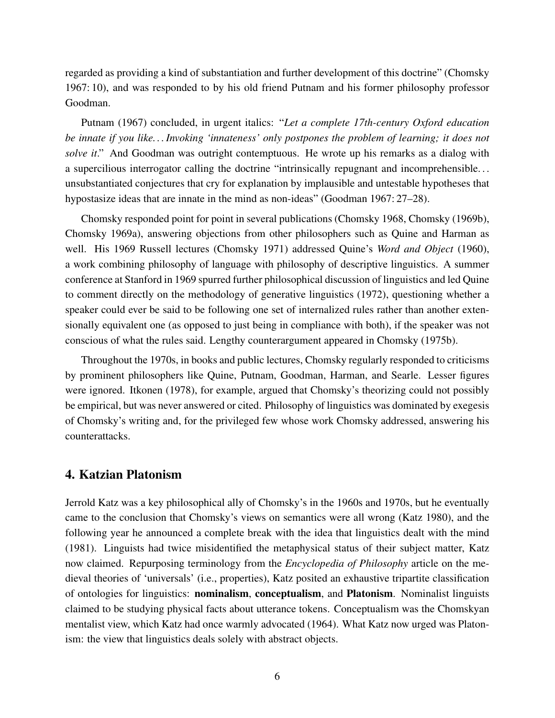regarded as providing a kind of substantiation and further development of this doctrine" (Chomsky 1967: 10), and was responded to by his old friend Putnam and his former philosophy professor Goodman.

Putnam (1967) concluded, in urgent italics: "*Let a complete 17th-century Oxford education be innate if you like. . . Invoking 'innateness' only postpones the problem of learning; it does not solve it*." And Goodman was outright contemptuous. He wrote up his remarks as a dialog with a supercilious interrogator calling the doctrine "intrinsically repugnant and incomprehensible. . . unsubstantiated conjectures that cry for explanation by implausible and untestable hypotheses that hypostasize ideas that are innate in the mind as non-ideas" (Goodman 1967: 27–28).

Chomsky responded point for point in several publications (Chomsky 1968, Chomsky (1969b), Chomsky 1969a), answering objections from other philosophers such as Quine and Harman as well. His 1969 Russell lectures (Chomsky 1971) addressed Quine's *Word and Object* (1960), a work combining philosophy of language with philosophy of descriptive linguistics. A summer conference at Stanford in 1969 spurred further philosophical discussion of linguistics and led Quine to comment directly on the methodology of generative linguistics (1972), questioning whether a speaker could ever be said to be following one set of internalized rules rather than another extensionally equivalent one (as opposed to just being in compliance with both), if the speaker was not conscious of what the rules said. Lengthy counterargument appeared in Chomsky (1975b).

Throughout the 1970s, in books and public lectures, Chomsky regularly responded to criticisms by prominent philosophers like Quine, Putnam, Goodman, Harman, and Searle. Lesser figures were ignored. Itkonen (1978), for example, argued that Chomsky's theorizing could not possibly be empirical, but was never answered or cited. Philosophy of linguistics was dominated by exegesis of Chomsky's writing and, for the privileged few whose work Chomsky addressed, answering his counterattacks.

### 4. Katzian Platonism

Jerrold Katz was a key philosophical ally of Chomsky's in the 1960s and 1970s, but he eventually came to the conclusion that Chomsky's views on semantics were all wrong (Katz 1980), and the following year he announced a complete break with the idea that linguistics dealt with the mind (1981). Linguists had twice misidentified the metaphysical status of their subject matter, Katz now claimed. Repurposing terminology from the *Encyclopedia of Philosophy* article on the medieval theories of 'universals' (i.e., properties), Katz posited an exhaustive tripartite classification of ontologies for linguistics: nominalism, conceptualism, and Platonism. Nominalist linguists claimed to be studying physical facts about utterance tokens. Conceptualism was the Chomskyan mentalist view, which Katz had once warmly advocated (1964). What Katz now urged was Platonism: the view that linguistics deals solely with abstract objects.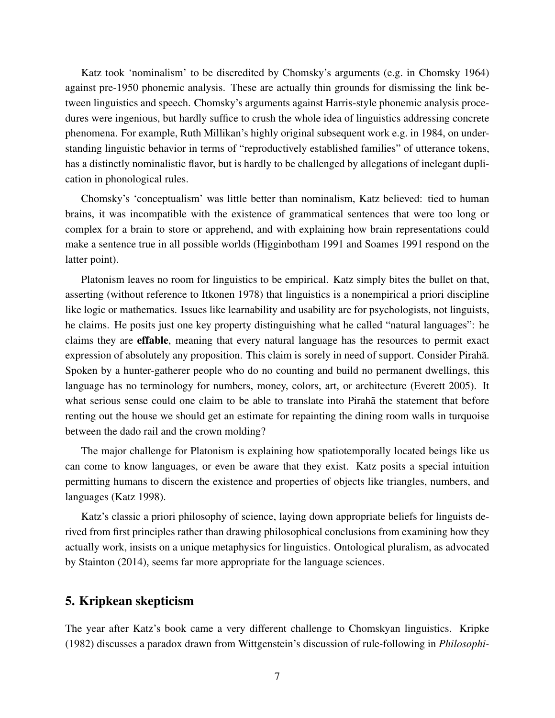Katz took 'nominalism' to be discredited by Chomsky's arguments (e.g. in Chomsky 1964) against pre-1950 phonemic analysis. These are actually thin grounds for dismissing the link between linguistics and speech. Chomsky's arguments against Harris-style phonemic analysis procedures were ingenious, but hardly suffice to crush the whole idea of linguistics addressing concrete phenomena. For example, Ruth Millikan's highly original subsequent work e.g. in 1984, on understanding linguistic behavior in terms of "reproductively established families" of utterance tokens, has a distinctly nominalistic flavor, but is hardly to be challenged by allegations of inelegant duplication in phonological rules.

Chomsky's 'conceptualism' was little better than nominalism, Katz believed: tied to human brains, it was incompatible with the existence of grammatical sentences that were too long or complex for a brain to store or apprehend, and with explaining how brain representations could make a sentence true in all possible worlds (Higginbotham 1991 and Soames 1991 respond on the latter point).

Platonism leaves no room for linguistics to be empirical. Katz simply bites the bullet on that, asserting (without reference to Itkonen 1978) that linguistics is a nonempirical a priori discipline like logic or mathematics. Issues like learnability and usability are for psychologists, not linguists, he claims. He posits just one key property distinguishing what he called "natural languages": he claims they are effable, meaning that every natural language has the resources to permit exact expression of absolutely any proposition. This claim is sorely in need of support. Consider Piraha. Spoken by a hunter-gatherer people who do no counting and build no permanent dwellings, this language has no terminology for numbers, money, colors, art, or architecture (Everett 2005). It what serious sense could one claim to be able to translate into Piraha the statement that before renting out the house we should get an estimate for repainting the dining room walls in turquoise between the dado rail and the crown molding?

The major challenge for Platonism is explaining how spatiotemporally located beings like us can come to know languages, or even be aware that they exist. Katz posits a special intuition permitting humans to discern the existence and properties of objects like triangles, numbers, and languages (Katz 1998).

Katz's classic a priori philosophy of science, laying down appropriate beliefs for linguists derived from first principles rather than drawing philosophical conclusions from examining how they actually work, insists on a unique metaphysics for linguistics. Ontological pluralism, as advocated by Stainton (2014), seems far more appropriate for the language sciences.

# 5. Kripkean skepticism

The year after Katz's book came a very different challenge to Chomskyan linguistics. Kripke (1982) discusses a paradox drawn from Wittgenstein's discussion of rule-following in *Philosophi-*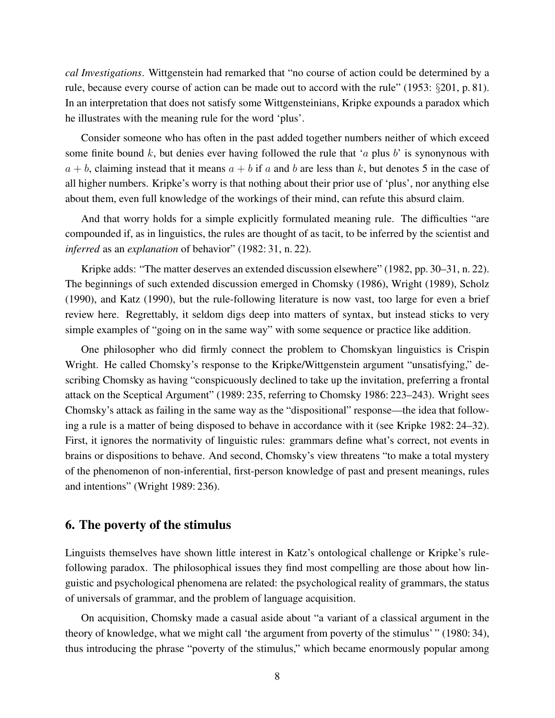*cal Investigations*. Wittgenstein had remarked that "no course of action could be determined by a rule, because every course of action can be made out to accord with the rule" (1953: §201, p. 81). In an interpretation that does not satisfy some Wittgensteinians, Kripke expounds a paradox which he illustrates with the meaning rule for the word 'plus'.

Consider someone who has often in the past added together numbers neither of which exceed some finite bound k, but denies ever having followed the rule that 'a plus b' is synonynous with  $a + b$ , claiming instead that it means  $a + b$  if a and b are less than k, but denotes 5 in the case of all higher numbers. Kripke's worry is that nothing about their prior use of 'plus', nor anything else about them, even full knowledge of the workings of their mind, can refute this absurd claim.

And that worry holds for a simple explicitly formulated meaning rule. The difficulties "are compounded if, as in linguistics, the rules are thought of as tacit, to be inferred by the scientist and *inferred* as an *explanation* of behavior" (1982: 31, n. 22).

Kripke adds: "The matter deserves an extended discussion elsewhere" (1982, pp. 30–31, n. 22). The beginnings of such extended discussion emerged in Chomsky (1986), Wright (1989), Scholz (1990), and Katz (1990), but the rule-following literature is now vast, too large for even a brief review here. Regrettably, it seldom digs deep into matters of syntax, but instead sticks to very simple examples of "going on in the same way" with some sequence or practice like addition.

One philosopher who did firmly connect the problem to Chomskyan linguistics is Crispin Wright. He called Chomsky's response to the Kripke/Wittgenstein argument "unsatisfying," describing Chomsky as having "conspicuously declined to take up the invitation, preferring a frontal attack on the Sceptical Argument" (1989: 235, referring to Chomsky 1986: 223–243). Wright sees Chomsky's attack as failing in the same way as the "dispositional" response—the idea that following a rule is a matter of being disposed to behave in accordance with it (see Kripke 1982: 24–32). First, it ignores the normativity of linguistic rules: grammars define what's correct, not events in brains or dispositions to behave. And second, Chomsky's view threatens "to make a total mystery of the phenomenon of non-inferential, first-person knowledge of past and present meanings, rules and intentions" (Wright 1989: 236).

#### 6. The poverty of the stimulus

Linguists themselves have shown little interest in Katz's ontological challenge or Kripke's rulefollowing paradox. The philosophical issues they find most compelling are those about how linguistic and psychological phenomena are related: the psychological reality of grammars, the status of universals of grammar, and the problem of language acquisition.

On acquisition, Chomsky made a casual aside about "a variant of a classical argument in the theory of knowledge, what we might call 'the argument from poverty of the stimulus' " (1980: 34), thus introducing the phrase "poverty of the stimulus," which became enormously popular among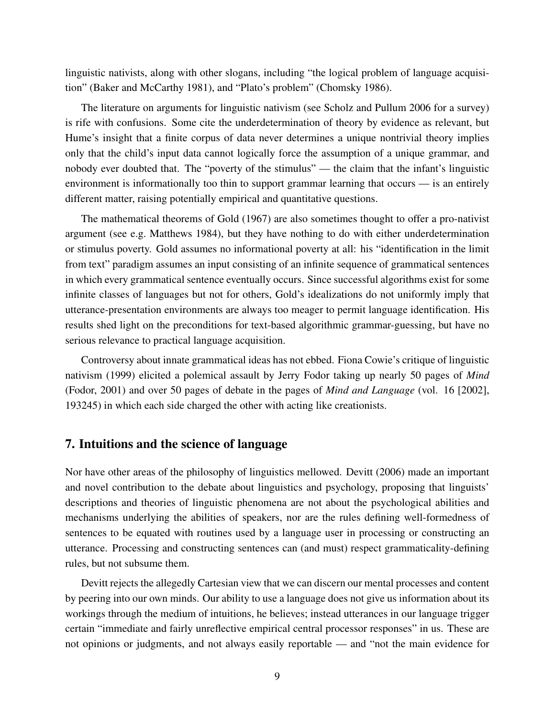linguistic nativists, along with other slogans, including "the logical problem of language acquisition" (Baker and McCarthy 1981), and "Plato's problem" (Chomsky 1986).

The literature on arguments for linguistic nativism (see Scholz and Pullum 2006 for a survey) is rife with confusions. Some cite the underdetermination of theory by evidence as relevant, but Hume's insight that a finite corpus of data never determines a unique nontrivial theory implies only that the child's input data cannot logically force the assumption of a unique grammar, and nobody ever doubted that. The "poverty of the stimulus" — the claim that the infant's linguistic environment is informationally too thin to support grammar learning that occurs — is an entirely different matter, raising potentially empirical and quantitative questions.

The mathematical theorems of Gold (1967) are also sometimes thought to offer a pro-nativist argument (see e.g. Matthews 1984), but they have nothing to do with either underdetermination or stimulus poverty. Gold assumes no informational poverty at all: his "identification in the limit from text" paradigm assumes an input consisting of an infinite sequence of grammatical sentences in which every grammatical sentence eventually occurs. Since successful algorithms exist for some infinite classes of languages but not for others, Gold's idealizations do not uniformly imply that utterance-presentation environments are always too meager to permit language identification. His results shed light on the preconditions for text-based algorithmic grammar-guessing, but have no serious relevance to practical language acquisition.

Controversy about innate grammatical ideas has not ebbed. Fiona Cowie's critique of linguistic nativism (1999) elicited a polemical assault by Jerry Fodor taking up nearly 50 pages of *Mind* (Fodor, 2001) and over 50 pages of debate in the pages of *Mind and Language* (vol. 16 [2002], 193245) in which each side charged the other with acting like creationists.

### 7. Intuitions and the science of language

Nor have other areas of the philosophy of linguistics mellowed. Devitt (2006) made an important and novel contribution to the debate about linguistics and psychology, proposing that linguists' descriptions and theories of linguistic phenomena are not about the psychological abilities and mechanisms underlying the abilities of speakers, nor are the rules defining well-formedness of sentences to be equated with routines used by a language user in processing or constructing an utterance. Processing and constructing sentences can (and must) respect grammaticality-defining rules, but not subsume them.

Devitt rejects the allegedly Cartesian view that we can discern our mental processes and content by peering into our own minds. Our ability to use a language does not give us information about its workings through the medium of intuitions, he believes; instead utterances in our language trigger certain "immediate and fairly unreflective empirical central processor responses" in us. These are not opinions or judgments, and not always easily reportable — and "not the main evidence for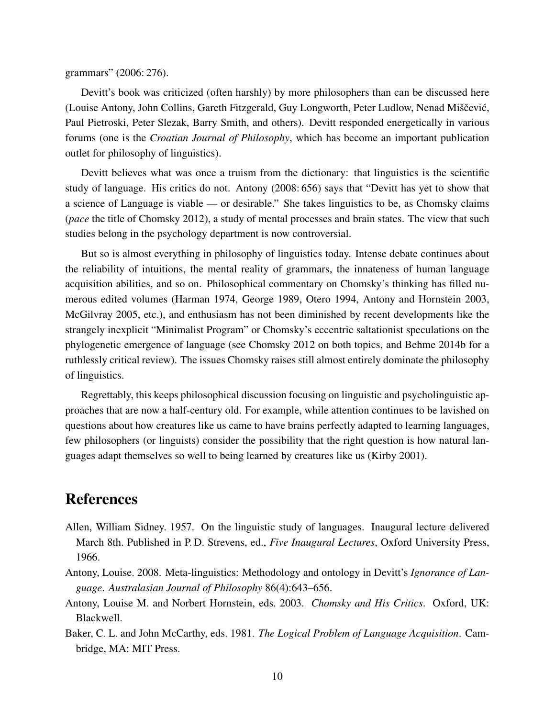#### grammars" (2006: 276).

Devitt's book was criticized (often harshly) by more philosophers than can be discussed here (Louise Antony, John Collins, Gareth Fitzgerald, Guy Longworth, Peter Ludlow, Nenad Miščević, Paul Pietroski, Peter Slezak, Barry Smith, and others). Devitt responded energetically in various forums (one is the *Croatian Journal of Philosophy*, which has become an important publication outlet for philosophy of linguistics).

Devitt believes what was once a truism from the dictionary: that linguistics is the scientific study of language. His critics do not. Antony (2008: 656) says that "Devitt has yet to show that a science of Language is viable — or desirable." She takes linguistics to be, as Chomsky claims (*pace* the title of Chomsky 2012), a study of mental processes and brain states. The view that such studies belong in the psychology department is now controversial.

But so is almost everything in philosophy of linguistics today. Intense debate continues about the reliability of intuitions, the mental reality of grammars, the innateness of human language acquisition abilities, and so on. Philosophical commentary on Chomsky's thinking has filled numerous edited volumes (Harman 1974, George 1989, Otero 1994, Antony and Hornstein 2003, McGilvray 2005, etc.), and enthusiasm has not been diminished by recent developments like the strangely inexplicit "Minimalist Program" or Chomsky's eccentric saltationist speculations on the phylogenetic emergence of language (see Chomsky 2012 on both topics, and Behme 2014b for a ruthlessly critical review). The issues Chomsky raises still almost entirely dominate the philosophy of linguistics.

Regrettably, this keeps philosophical discussion focusing on linguistic and psycholinguistic approaches that are now a half-century old. For example, while attention continues to be lavished on questions about how creatures like us came to have brains perfectly adapted to learning languages, few philosophers (or linguists) consider the possibility that the right question is how natural languages adapt themselves so well to being learned by creatures like us (Kirby 2001).

# References

- Allen, William Sidney. 1957. On the linguistic study of languages. Inaugural lecture delivered March 8th. Published in P. D. Strevens, ed., *Five Inaugural Lectures*, Oxford University Press, 1966.
- Antony, Louise. 2008. Meta-linguistics: Methodology and ontology in Devitt's *Ignorance of Language*. *Australasian Journal of Philosophy* 86(4):643–656.
- Antony, Louise M. and Norbert Hornstein, eds. 2003. *Chomsky and His Critics*. Oxford, UK: Blackwell.
- Baker, C. L. and John McCarthy, eds. 1981. *The Logical Problem of Language Acquisition*. Cambridge, MA: MIT Press.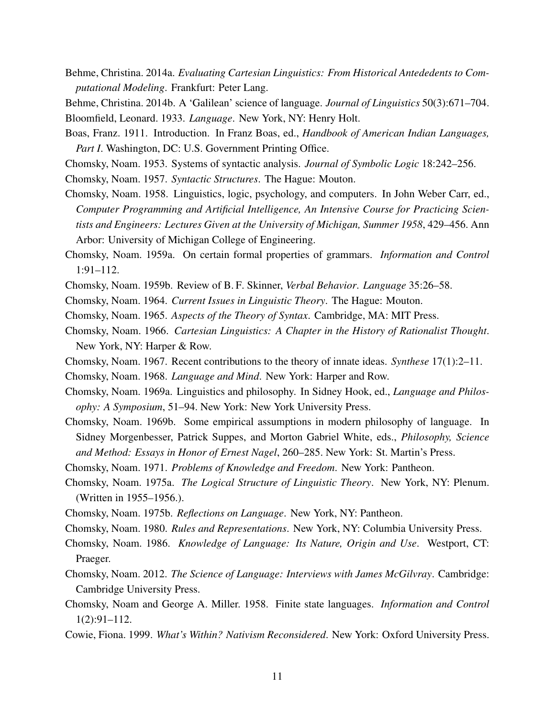Behme, Christina. 2014a. *Evaluating Cartesian Linguistics: From Historical Antededents to Computational Modeling*. Frankfurt: Peter Lang.

Behme, Christina. 2014b. A 'Galilean' science of language. *Journal of Linguistics* 50(3):671–704. Bloomfield, Leonard. 1933. *Language*. New York, NY: Henry Holt.

- Boas, Franz. 1911. Introduction. In Franz Boas, ed., *Handbook of American Indian Languages, Part I*. Washington, DC: U.S. Government Printing Office.
- Chomsky, Noam. 1953. Systems of syntactic analysis. *Journal of Symbolic Logic* 18:242–256.
- Chomsky, Noam. 1957. *Syntactic Structures*. The Hague: Mouton.
- Chomsky, Noam. 1958. Linguistics, logic, psychology, and computers. In John Weber Carr, ed., *Computer Programming and Artificial Intelligence, An Intensive Course for Practicing Scientists and Engineers: Lectures Given at the University of Michigan, Summer 1958*, 429–456. Ann Arbor: University of Michigan College of Engineering.
- Chomsky, Noam. 1959a. On certain formal properties of grammars. *Information and Control* 1:91–112.
- Chomsky, Noam. 1959b. Review of B. F. Skinner, *Verbal Behavior*. *Language* 35:26–58.
- Chomsky, Noam. 1964. *Current Issues in Linguistic Theory*. The Hague: Mouton.
- Chomsky, Noam. 1965. *Aspects of the Theory of Syntax*. Cambridge, MA: MIT Press.
- Chomsky, Noam. 1966. *Cartesian Linguistics: A Chapter in the History of Rationalist Thought*. New York, NY: Harper & Row.
- Chomsky, Noam. 1967. Recent contributions to the theory of innate ideas. *Synthese* 17(1):2–11.
- Chomsky, Noam. 1968. *Language and Mind*. New York: Harper and Row.
- Chomsky, Noam. 1969a. Linguistics and philosophy. In Sidney Hook, ed., *Language and Philosophy: A Symposium*, 51–94. New York: New York University Press.
- Chomsky, Noam. 1969b. Some empirical assumptions in modern philosophy of language. In Sidney Morgenbesser, Patrick Suppes, and Morton Gabriel White, eds., *Philosophy, Science and Method: Essays in Honor of Ernest Nagel*, 260–285. New York: St. Martin's Press.
- Chomsky, Noam. 1971. *Problems of Knowledge and Freedom*. New York: Pantheon.
- Chomsky, Noam. 1975a. *The Logical Structure of Linguistic Theory*. New York, NY: Plenum. (Written in 1955–1956.).
- Chomsky, Noam. 1975b. *Reflections on Language*. New York, NY: Pantheon.
- Chomsky, Noam. 1980. *Rules and Representations*. New York, NY: Columbia University Press.
- Chomsky, Noam. 1986. *Knowledge of Language: Its Nature, Origin and Use*. Westport, CT: Praeger.
- Chomsky, Noam. 2012. *The Science of Language: Interviews with James McGilvray*. Cambridge: Cambridge University Press.
- Chomsky, Noam and George A. Miller. 1958. Finite state languages. *Information and Control* 1(2):91–112.
- Cowie, Fiona. 1999. *What's Within? Nativism Reconsidered*. New York: Oxford University Press.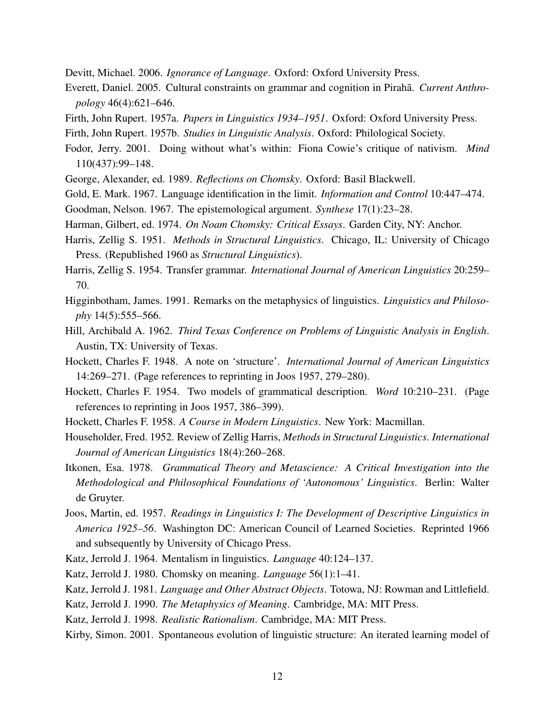Devitt, Michael. 2006. *Ignorance of Language*. Oxford: Oxford University Press.

- Everett, Daniel. 2005. Cultural constraints on grammar and cognition in Piraha.˜ *Current Anthropology* 46(4):621–646.
- Firth, John Rupert. 1957a. *Papers in Linguistics 1934–1951*. Oxford: Oxford University Press.
- Firth, John Rupert. 1957b. *Studies in Linguistic Analysis*. Oxford: Philological Society.
- Fodor, Jerry. 2001. Doing without what's within: Fiona Cowie's critique of nativism. *Mind* 110(437):99–148.
- George, Alexander, ed. 1989. *Reflections on Chomsky*. Oxford: Basil Blackwell.
- Gold, E. Mark. 1967. Language identification in the limit. *Information and Control* 10:447–474.
- Goodman, Nelson. 1967. The epistemological argument. *Synthese* 17(1):23–28.
- Harman, Gilbert, ed. 1974. *On Noam Chomsky: Critical Essays*. Garden City, NY: Anchor.
- Harris, Zellig S. 1951. *Methods in Structural Linguistics*. Chicago, IL: University of Chicago Press. (Republished 1960 as *Structural Linguistics*).
- Harris, Zellig S. 1954. Transfer grammar. *International Journal of American Linguistics* 20:259– 70.
- Higginbotham, James. 1991. Remarks on the metaphysics of linguistics. *Linguistics and Philosophy* 14(5):555–566.
- Hill, Archibald A. 1962. *Third Texas Conference on Problems of Linguistic Analysis in English*. Austin, TX: University of Texas.
- Hockett, Charles F. 1948. A note on 'structure'. *International Journal of American Linguistics* 14:269–271. (Page references to reprinting in Joos 1957, 279–280).
- Hockett, Charles F. 1954. Two models of grammatical description. *Word* 10:210–231. (Page references to reprinting in Joos 1957, 386–399).
- Hockett, Charles F. 1958. *A Course in Modern Linguistics*. New York: Macmillan.
- Householder, Fred. 1952. Review of Zellig Harris, *Methods in Structural Linguistics*. *International Journal of American Linguistics* 18(4):260–268.
- Itkonen, Esa. 1978. *Grammatical Theory and Metascience: A Critical Investigation into the Methodological and Philosophical Foundations of 'Autonomous' Linguistics*. Berlin: Walter de Gruyter.
- Joos, Martin, ed. 1957. *Readings in Linguistics I: The Development of Descriptive Linguistics in America 1925–56*. Washington DC: American Council of Learned Societies. Reprinted 1966 and subsequently by University of Chicago Press.
- Katz, Jerrold J. 1964. Mentalism in linguistics. *Language* 40:124–137.

Katz, Jerrold J. 1980. Chomsky on meaning. *Language* 56(1):1–41.

- Katz, Jerrold J. 1981. *Language and Other Abstract Objects*. Totowa, NJ: Rowman and Littlefield.
- Katz, Jerrold J. 1990. *The Metaphysics of Meaning*. Cambridge, MA: MIT Press.
- Katz, Jerrold J. 1998. *Realistic Rationalism*. Cambridge, MA: MIT Press.
- Kirby, Simon. 2001. Spontaneous evolution of linguistic structure: An iterated learning model of